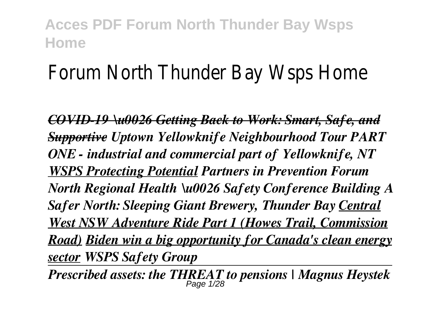# Forum North Thunder Bay Wsps Home

*COVID-19 \u0026 Getting Back to Work: Smart, Safe, and Supportive Uptown Yellowknife Neighbourhood Tour PART ONE - industrial and commercial part of Yellowknife, NT WSPS Protecting Potential Partners in Prevention Forum North Regional Health \u0026 Safety Conference Building A Safer North: Sleeping Giant Brewery, Thunder Bay Central West NSW Adventure Ride Part 1 (Howes Trail, Commission Road) Biden win a big opportunity for Canada's clean energy sector WSPS Safety Group*

Prescribed assets: the THREAT to pensions | Magnus Heystek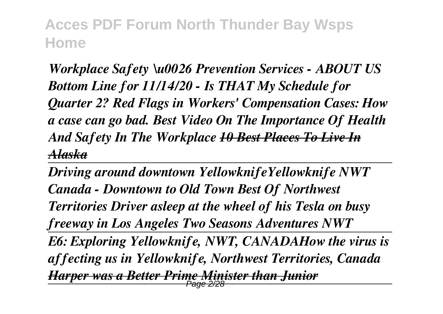*Workplace Safety \u0026 Prevention Services - ABOUT US Bottom Line for 11/14/20 - Is THAT My Schedule for Quarter 2? Red Flags in Workers' Compensation Cases: How a case can go bad. Best Video On The Importance Of Health And Safety In The Workplace 10 Best Places To Live In Alaska*

*Driving around downtown YellowknifeYellowknife NWT Canada - Downtown to Old Town Best Of Northwest Territories Driver asleep at the wheel of his Tesla on busy freeway in Los Angeles Two Seasons Adventures NWT E6: Exploring Yellowknife, NWT, CANADAHow the virus is affecting us in Yellowknife, Northwest Territories, Canada Harper was a Better Prime Minister than Junior* Page 2/28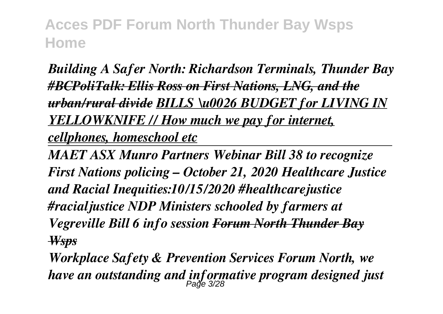*Building A Safer North: Richardson Terminals, Thunder Bay #BCPoliTalk: Ellis Ross on First Nations, LNG, and the urban/rural divide BILLS \u0026 BUDGET for LIVING IN YELLOWKNIFE // How much we pay for internet, cellphones, homeschool etc*

*MAET ASX Munro Partners Webinar Bill 38 to recognize First Nations policing – October 21, 2020 Healthcare Justice and Racial Inequities:10/15/2020 #healthcarejustice #racialjustice NDP Ministers schooled by farmers at Vegreville Bill 6 info session Forum North Thunder Bay Wsps*

*Workplace Safety & Prevention Services Forum North, we have an outstanding and informative program designed just* Page 3/28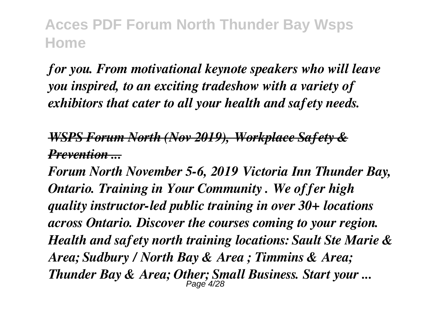*for you. From motivational keynote speakers who will leave you inspired, to an exciting tradeshow with a variety of exhibitors that cater to all your health and safety needs.*

### *WSPS Forum North (Nov 2019), Workplace Safety & Prevention ...*

*Forum North November 5-6, 2019 Victoria Inn Thunder Bay, Ontario. Training in Your Community . We offer high quality instructor-led public training in over 30+ locations across Ontario. Discover the courses coming to your region. Health and safety north training locations: Sault Ste Marie & Area; Sudbury / North Bay & Area ; Timmins & Area; Thunder Bay & Area; Other; Small Business. Start your ...* Page 4/28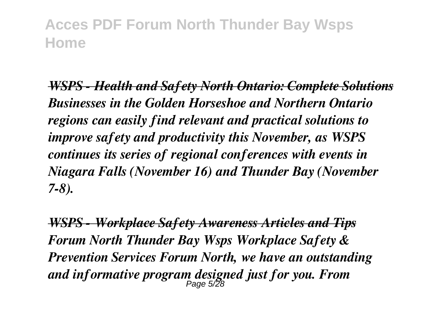*WSPS - Health and Safety North Ontario: Complete Solutions Businesses in the Golden Horseshoe and Northern Ontario regions can easily find relevant and practical solutions to improve safety and productivity this November, as WSPS continues its series of regional conferences with events in Niagara Falls (November 16) and Thunder Bay (November 7-8).*

*WSPS - Workplace Safety Awareness Articles and Tips Forum North Thunder Bay Wsps Workplace Safety & Prevention Services Forum North, we have an outstanding and informative program designed just for you. From* Page 5/28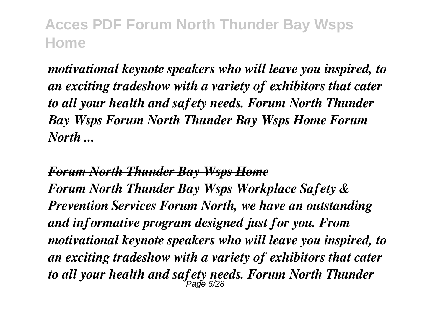*motivational keynote speakers who will leave you inspired, to an exciting tradeshow with a variety of exhibitors that cater to all your health and safety needs. Forum North Thunder Bay Wsps Forum North Thunder Bay Wsps Home Forum North ...*

#### *Forum North Thunder Bay Wsps Home*

*Forum North Thunder Bay Wsps Workplace Safety & Prevention Services Forum North, we have an outstanding and informative program designed just for you. From motivational keynote speakers who will leave you inspired, to an exciting tradeshow with a variety of exhibitors that cater to all your health and safety needs. Forum North Thunder* Page 6/28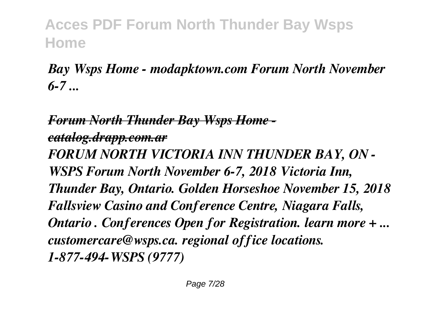*Bay Wsps Home - modapktown.com Forum North November 6-7 ...*

*Forum North Thunder Bay Wsps Home catalog.drapp.com.ar FORUM NORTH VICTORIA INN THUNDER BAY, ON - WSPS Forum North November 6-7, 2018 Victoria Inn, Thunder Bay, Ontario. Golden Horseshoe November 15, 2018 Fallsview Casino and Conference Centre, Niagara Falls, Ontario . Conferences Open for Registration. learn more + ... customercare@wsps.ca. regional office locations. 1-877-494-WSPS (9777)*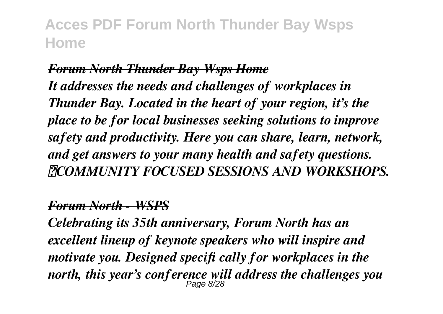*Forum North Thunder Bay Wsps Home It addresses the needs and challenges of workplaces in Thunder Bay. Located in the heart of your region, it's the place to be for local businesses seeking solutions to improve safety and productivity. Here you can share, learn, network, and get answers to your many health and safety questions. COMMUNITY FOCUSED SESSIONS AND WORKSHOPS.*

#### *Forum North - WSPS*

*Celebrating its 35th anniversary, Forum North has an excellent lineup of keynote speakers who will inspire and motivate you. Designed specifi cally for workplaces in the north, this year's conference will address the challenges you* Page 8/28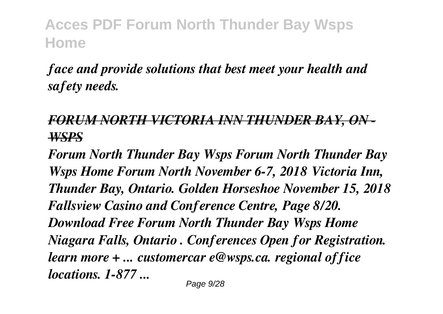## *face and provide solutions that best meet your health and safety needs.*

### *FORUM NORTH VICTORIA INN THUNDER BAY, ON - WSPS*

*Forum North Thunder Bay Wsps Forum North Thunder Bay Wsps Home Forum North November 6-7, 2018 Victoria Inn, Thunder Bay, Ontario. Golden Horseshoe November 15, 2018 Fallsview Casino and Conference Centre, Page 8/20. Download Free Forum North Thunder Bay Wsps Home Niagara Falls, Ontario . Conferences Open for Registration. learn more + ... customercar e@wsps.ca. regional office locations. 1-877 ...*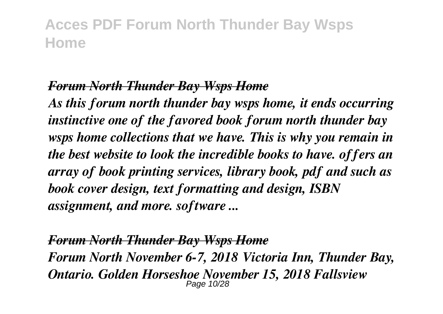#### *Forum North Thunder Bay Wsps Home*

*As this forum north thunder bay wsps home, it ends occurring instinctive one of the favored book forum north thunder bay wsps home collections that we have. This is why you remain in the best website to look the incredible books to have. offers an array of book printing services, library book, pdf and such as book cover design, text formatting and design, ISBN assignment, and more. software ...*

*Forum North Thunder Bay Wsps Home Forum North November 6-7, 2018 Victoria Inn, Thunder Bay, Ontario. Golden Horseshoe November 15, 2018 Fallsview* Page 10/28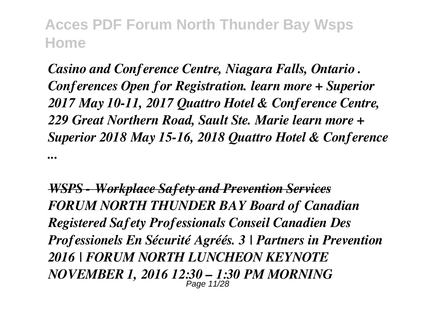*...*

*Casino and Conference Centre, Niagara Falls, Ontario . Conferences Open for Registration. learn more + Superior 2017 May 10-11, 2017 Quattro Hotel & Conference Centre, 229 Great Northern Road, Sault Ste. Marie learn more + Superior 2018 May 15-16, 2018 Quattro Hotel & Conference*

*WSPS - Workplace Safety and Prevention Services FORUM NORTH THUNDER BAY Board of Canadian Registered Safety Professionals Conseil Canadien Des Professionels En Sécurité Agréés. 3 | Partners in Prevention 2016 | FORUM NORTH LUNCHEON KEYNOTE NOVEMBER 1, 2016 12:30 – 1:30 PM MORNING* Page 11/28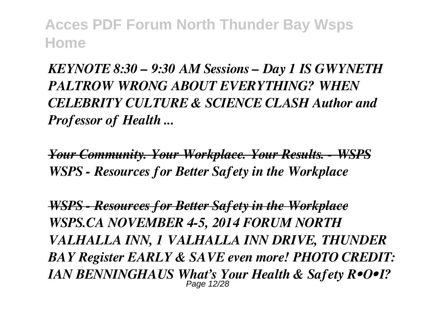*KEYNOTE 8:30 – 9:30 AM Sessions – Day 1 IS GWYNETH PALTROW WRONG ABOUT EVERYTHING? WHEN CELEBRITY CULTURE & SCIENCE CLASH Author and Professor of Health ...*

*Your Community. Your Workplace. Your Results. - WSPS WSPS - Resources for Better Safety in the Workplace*

*WSPS - Resources for Better Safety in the Workplace WSPS.CA NOVEMBER 4-5, 2014 FORUM NORTH VALHALLA INN, 1 VALHALLA INN DRIVE, THUNDER BAY Register EARLY & SAVE even more! PHOTO CREDIT: IAN BENNINGHAUS What's Your Health & Safety R•O•I?* Page 12/28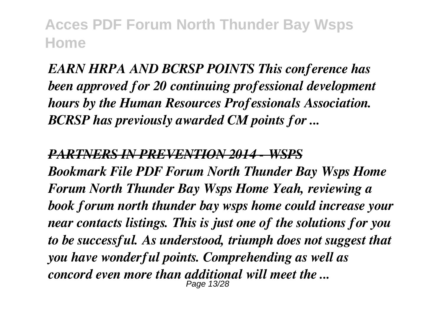*EARN HRPA AND BCRSP POINTS This conference has been approved for 20 continuing professional development hours by the Human Resources Professionals Association. BCRSP has previously awarded CM points for ...*

*PARTNERS IN PREVENTION 2014 - WSPS Bookmark File PDF Forum North Thunder Bay Wsps Home Forum North Thunder Bay Wsps Home Yeah, reviewing a book forum north thunder bay wsps home could increase your near contacts listings. This is just one of the solutions for you to be successful. As understood, triumph does not suggest that you have wonderful points. Comprehending as well as concord even more than additional will meet the ...* Page 13/28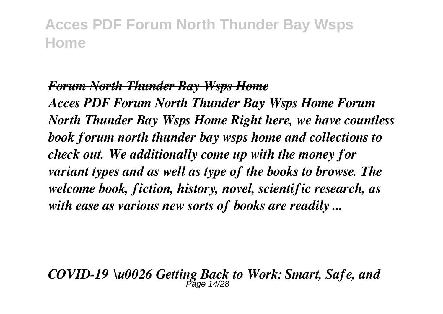#### *Forum North Thunder Bay Wsps Home*

*Acces PDF Forum North Thunder Bay Wsps Home Forum North Thunder Bay Wsps Home Right here, we have countless book forum north thunder bay wsps home and collections to check out. We additionally come up with the money for variant types and as well as type of the books to browse. The welcome book, fiction, history, novel, scientific research, as with ease as various new sorts of books are readily ...*

*COVID-19 \u0026 Getting Back to Work: Smart, Safe, and* Page 14/28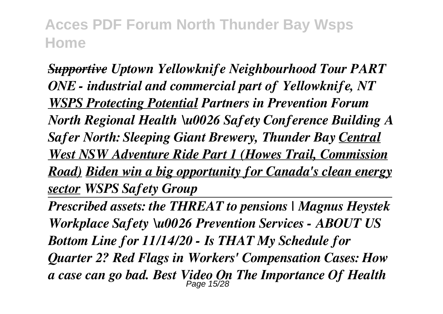*Supportive Uptown Yellowknife Neighbourhood Tour PART ONE - industrial and commercial part of Yellowknife, NT WSPS Protecting Potential Partners in Prevention Forum North Regional Health \u0026 Safety Conference Building A Safer North: Sleeping Giant Brewery, Thunder Bay Central West NSW Adventure Ride Part 1 (Howes Trail, Commission Road) Biden win a big opportunity for Canada's clean energy sector WSPS Safety Group*

*Prescribed assets: the THREAT to pensions | Magnus Heystek Workplace Safety \u0026 Prevention Services - ABOUT US Bottom Line for 11/14/20 - Is THAT My Schedule for Quarter 2? Red Flags in Workers' Compensation Cases: How a case can go bad. Best Video On The Importance Of Health* Page 15/28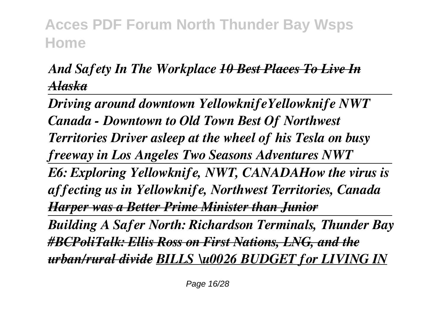## *And Safety In The Workplace 10 Best Places To Live In Alaska*

*Driving around downtown YellowknifeYellowknife NWT Canada - Downtown to Old Town Best Of Northwest Territories Driver asleep at the wheel of his Tesla on busy freeway in Los Angeles Two Seasons Adventures NWT E6: Exploring Yellowknife, NWT, CANADAHow the virus is affecting us in Yellowknife, Northwest Territories, Canada Harper was a Better Prime Minister than Junior Building A Safer North: Richardson Terminals, Thunder Bay #BCPoliTalk: Ellis Ross on First Nations, LNG, and the urban/rural divide BILLS \u0026 BUDGET for LIVING IN*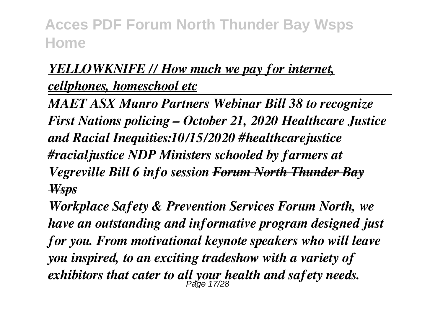## *YELLOWKNIFE // How much we pay for internet, cellphones, homeschool etc*

*MAET ASX Munro Partners Webinar Bill 38 to recognize First Nations policing – October 21, 2020 Healthcare Justice and Racial Inequities:10/15/2020 #healthcarejustice #racialjustice NDP Ministers schooled by farmers at Vegreville Bill 6 info session Forum North Thunder Bay Wsps*

*Workplace Safety & Prevention Services Forum North, we have an outstanding and informative program designed just for you. From motivational keynote speakers who will leave you inspired, to an exciting tradeshow with a variety of* exhibitors that cater to all your health and safety needs.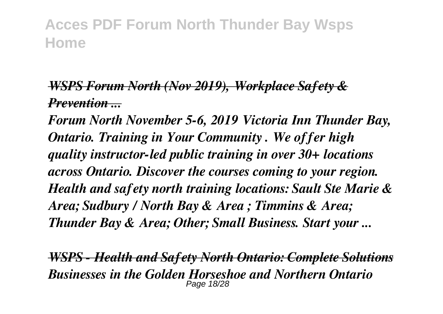#### *WSPS Forum North (Nov 2019), Workplace Safety & Prevention ...*

*Forum North November 5-6, 2019 Victoria Inn Thunder Bay, Ontario. Training in Your Community . We offer high quality instructor-led public training in over 30+ locations across Ontario. Discover the courses coming to your region. Health and safety north training locations: Sault Ste Marie & Area; Sudbury / North Bay & Area ; Timmins & Area; Thunder Bay & Area; Other; Small Business. Start your ...*

*WSPS - Health and Safety North Ontario: Complete Solutions Businesses in the Golden Horseshoe and Northern Ontario* Page 18/28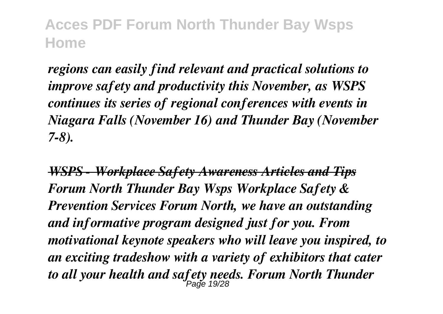*regions can easily find relevant and practical solutions to improve safety and productivity this November, as WSPS continues its series of regional conferences with events in Niagara Falls (November 16) and Thunder Bay (November 7-8).*

*WSPS - Workplace Safety Awareness Articles and Tips Forum North Thunder Bay Wsps Workplace Safety & Prevention Services Forum North, we have an outstanding and informative program designed just for you. From motivational keynote speakers who will leave you inspired, to an exciting tradeshow with a variety of exhibitors that cater to all your health and safety needs. Forum North Thunder* Page 19/28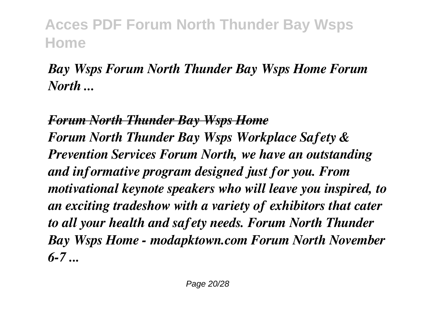## *Bay Wsps Forum North Thunder Bay Wsps Home Forum North ...*

*Forum North Thunder Bay Wsps Home Forum North Thunder Bay Wsps Workplace Safety & Prevention Services Forum North, we have an outstanding and informative program designed just for you. From motivational keynote speakers who will leave you inspired, to an exciting tradeshow with a variety of exhibitors that cater to all your health and safety needs. Forum North Thunder Bay Wsps Home - modapktown.com Forum North November 6-7 ...*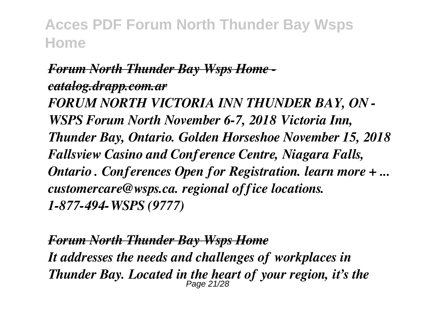# *Forum North Thunder Bay Wsps Home catalog.drapp.com.ar*

*FORUM NORTH VICTORIA INN THUNDER BAY, ON - WSPS Forum North November 6-7, 2018 Victoria Inn, Thunder Bay, Ontario. Golden Horseshoe November 15, 2018 Fallsview Casino and Conference Centre, Niagara Falls, Ontario . Conferences Open for Registration. learn more + ... customercare@wsps.ca. regional office locations. 1-877-494-WSPS (9777)*

*Forum North Thunder Bay Wsps Home It addresses the needs and challenges of workplaces in Thunder Bay. Located in the heart of your region, it's the* Page 21/28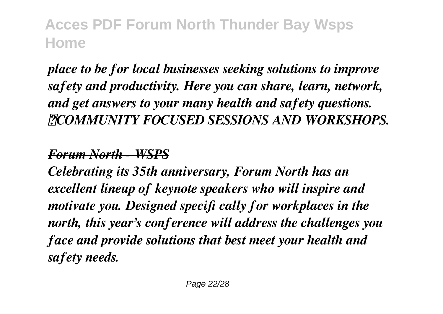*place to be for local businesses seeking solutions to improve safety and productivity. Here you can share, learn, network, and get answers to your many health and safety questions. COMMUNITY FOCUSED SESSIONS AND WORKSHOPS.*

#### *Forum North - WSPS*

*Celebrating its 35th anniversary, Forum North has an excellent lineup of keynote speakers who will inspire and motivate you. Designed specifi cally for workplaces in the north, this year's conference will address the challenges you face and provide solutions that best meet your health and safety needs.*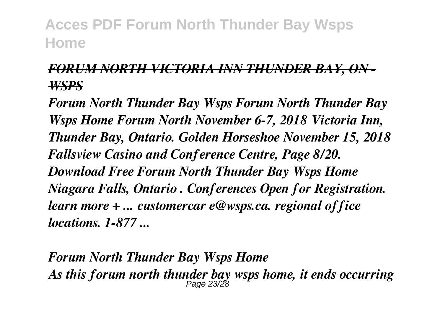### *FORUM NORTH VICTORIA INN THUNDER BAY, ON - WSPS*

*Forum North Thunder Bay Wsps Forum North Thunder Bay Wsps Home Forum North November 6-7, 2018 Victoria Inn, Thunder Bay, Ontario. Golden Horseshoe November 15, 2018 Fallsview Casino and Conference Centre, Page 8/20. Download Free Forum North Thunder Bay Wsps Home Niagara Falls, Ontario . Conferences Open for Registration. learn more + ... customercar e@wsps.ca. regional office locations. 1-877 ...*

*Forum North Thunder Bay Wsps Home As this forum north thunder bay wsps home, it ends occurring* Page 23/28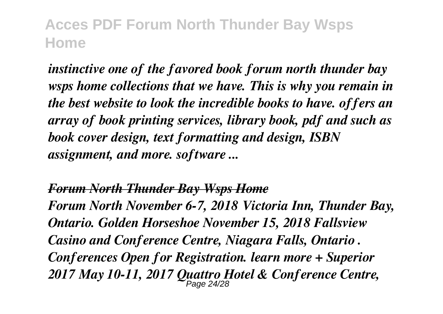*instinctive one of the favored book forum north thunder bay wsps home collections that we have. This is why you remain in the best website to look the incredible books to have. offers an array of book printing services, library book, pdf and such as book cover design, text formatting and design, ISBN assignment, and more. software ...*

#### *Forum North Thunder Bay Wsps Home*

*Forum North November 6-7, 2018 Victoria Inn, Thunder Bay, Ontario. Golden Horseshoe November 15, 2018 Fallsview Casino and Conference Centre, Niagara Falls, Ontario . Conferences Open for Registration. learn more + Superior 2017 May 10-11, 2017 Quattro Hotel & Conference Centre,* Page 24/28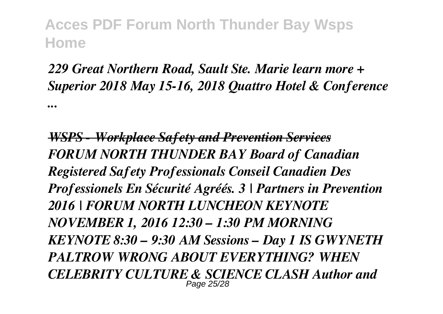*...*

## *229 Great Northern Road, Sault Ste. Marie learn more + Superior 2018 May 15-16, 2018 Quattro Hotel & Conference*

*WSPS - Workplace Safety and Prevention Services FORUM NORTH THUNDER BAY Board of Canadian Registered Safety Professionals Conseil Canadien Des Professionels En Sécurité Agréés. 3 | Partners in Prevention 2016 | FORUM NORTH LUNCHEON KEYNOTE NOVEMBER 1, 2016 12:30 – 1:30 PM MORNING KEYNOTE 8:30 – 9:30 AM Sessions – Day 1 IS GWYNETH PALTROW WRONG ABOUT EVERYTHING? WHEN CELEBRITY CULTURE & SCIENCE CLASH Author and* Page 25/28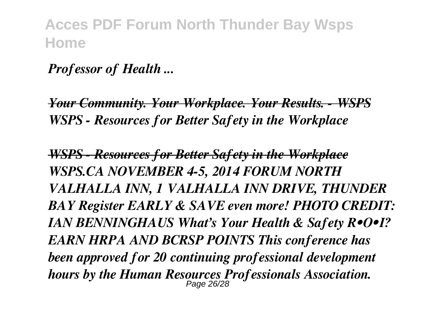*Professor of Health ...*

*Your Community. Your Workplace. Your Results. - WSPS WSPS - Resources for Better Safety in the Workplace*

*WSPS - Resources for Better Safety in the Workplace WSPS.CA NOVEMBER 4-5, 2014 FORUM NORTH VALHALLA INN, 1 VALHALLA INN DRIVE, THUNDER BAY Register EARLY & SAVE even more! PHOTO CREDIT: IAN BENNINGHAUS What's Your Health & Safety R•O•I? EARN HRPA AND BCRSP POINTS This conference has been approved for 20 continuing professional development hours by the Human Resources Professionals Association.* Page 26/28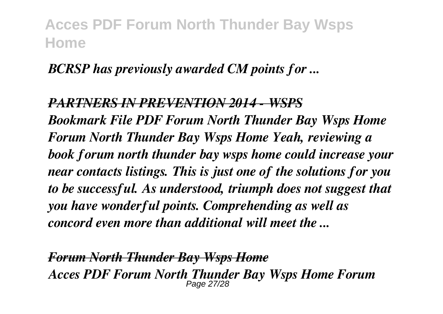#### *BCRSP has previously awarded CM points for ...*

*PARTNERS IN PREVENTION 2014 - WSPS Bookmark File PDF Forum North Thunder Bay Wsps Home Forum North Thunder Bay Wsps Home Yeah, reviewing a book forum north thunder bay wsps home could increase your near contacts listings. This is just one of the solutions for you to be successful. As understood, triumph does not suggest that you have wonderful points. Comprehending as well as concord even more than additional will meet the ...*

*Forum North Thunder Bay Wsps Home Acces PDF Forum North Thunder Bay Wsps Home Forum* Page 27/28